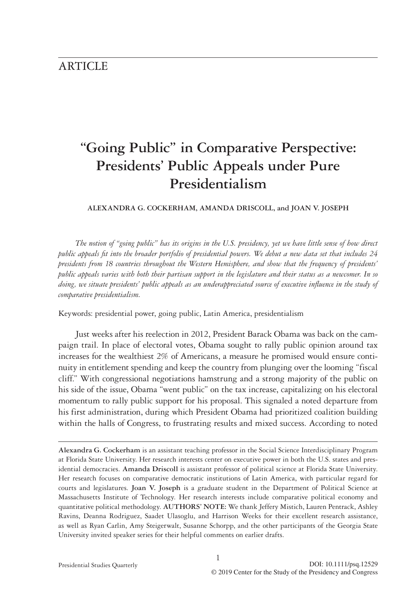# **ARTICLE**

# **"Going Public" in Comparative Perspective: Presidents' Public Appeals under Pure Presidentialism**

**ALEXANDRA G. COCKERHAM, AMANDA DRISCOLL, and JOAN V. JOSEPH**

*The notion of "going public" has its origins in the U.S. presidency, yet we have little sense of how direct public appeals fit into the broader portfolio of presidential powers. We debut a new data set that includes 24 presidents from 18 countries throughout the Western Hemisphere, and show that the frequency of presidents' public appeals varies with both their partisan support in the legislature and their status as a newcomer. In so doing, we situate presidents' public appeals as an underappreciated source of executive influence in the study of comparative presidentialism.*

Keywords: presidential power, going public, Latin America, presidentialism

Just weeks after his reelection in 2012, President Barack Obama was back on the campaign trail. In place of electoral votes, Obama sought to rally public opinion around tax increases for the wealthiest 2% of Americans, a measure he promised would ensure continuity in entitlement spending and keep the country from plunging over the looming "fiscal cliff." With congressional negotiations hamstrung and a strong majority of the public on his side of the issue, Obama "went public" on the tax increase, capitalizing on his electoral momentum to rally public support for his proposal. This signaled a noted departure from his first administration, during which President Obama had prioritized coalition building within the halls of Congress, to frustrating results and mixed success. According to noted

**Alexandra G. Cockerham** is an assistant teaching professor in the Social Science Interdisciplinary Program at Florida State University. Her research interests center on executive power in both the U.S. states and presidential democracies. **Amanda Driscoll** is assistant professor of political science at Florida State University. Her research focuses on comparative democratic institutions of Latin America, with particular regard for courts and legislatures. **Joan V. Joseph** is a graduate student in the Department of Political Science at Massachusetts Institute of Technology. Her research interests include comparative political economy and quantitative political methodology. **AUTHORS' NOTE:** We thank Jeffery Mistich, Lauren Pentrack, Ashley Ravins, Deanna Rodriguez, Saadet Ulasoglu, and Harrison Weeks for their excellent research assistance, as well as Ryan Carlin, Amy Steigerwalt, Susanne Schorpp, and the other participants of the Georgia State University invited speaker series for their helpful comments on earlier drafts.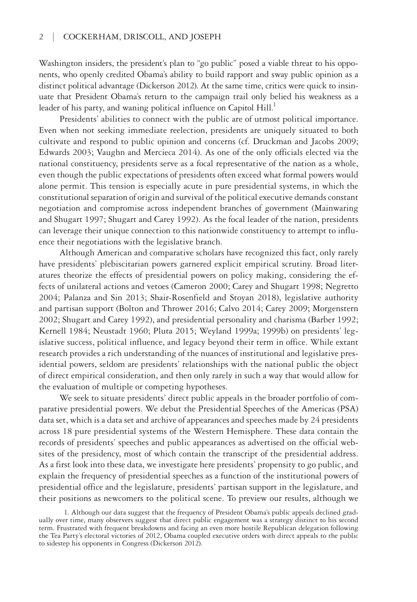Washington insiders, the president's plan to "go public" posed a viable threat to his opponents, who openly credited Obama's ability to build rapport and sway public opinion as a distinct political advantage (Dickerson 2012). At the same time, critics were quick to insinuate that President Obama's return to the campaign trail only belied his weakness as a leader of his party, and waning political influence on Capitol Hill.<sup>1</sup>

Presidents' abilities to connect with the public are of utmost political importance. Even when not seeking immediate reelection, presidents are uniquely situated to both cultivate and respond to public opinion and concerns (cf. Druckman and Jacobs 2009; Edwards 2003; Vaughn and Mercieca 2014). As one of the only officials elected via the national constituency, presidents serve as a focal representative of the nation as a whole, even though the public expectations of presidents often exceed what formal powers would alone permit. This tension is especially acute in pure presidential systems, in which the constitutional separation of origin and survival of the political executive demands constant negotiation and compromise across independent branches of government (Mainwaring and Shugart 1997; Shugart and Carey 1992). As the focal leader of the nation, presidents can leverage their unique connection to this nationwide constituency to attempt to influence their negotiations with the legislative branch.

Although American and comparative scholars have recognized this fact, only rarely have presidents' plebiscitarian powers garnered explicit empirical scrutiny. Broad literatures theorize the effects of presidential powers on policy making, considering the effects of unilateral actions and vetoes (Cameron 2000; Carey and Shugart 1998; Negretto 2004; Palanza and Sin 2013; Shair-Rosenfield and Stoyan 2018), legislative authority and partisan support (Bolton and Thrower 2016; Calvo 2014; Carey 2009; Morgenstern 2002; Shugart and Carey 1992), and presidential personality and charisma (Barber 1992; Kernell 1984; Neustadt 1960; Pluta 2015; Weyland 1999a; 1999b) on presidents' legislative success, political influence, and legacy beyond their term in office. While extant research provides a rich understanding of the nuances of institutional and legislative presidential powers, seldom are presidents' relationships with the national public the object of direct empirical consideration, and then only rarely in such a way that would allow for the evaluation of multiple or competing hypotheses.

We seek to situate presidents' direct public appeals in the broader portfolio of comparative presidential powers. We debut the Presidential Speeches of the Americas (PSA) data set, which is a data set and archive of appearances and speeches made by 24 presidents across 18 pure presidential systems of the Western Hemisphere. These data contain the records of presidents' speeches and public appearances as advertised on the official websites of the presidency, most of which contain the transcript of the presidential address. As a first look into these data, we investigate here presidents' propensity to go public, and explain the frequency of presidential speeches as a function of the institutional powers of presidential office and the legislature, presidents' partisan support in the legislature, and their positions as newcomers to the political scene. To preview our results, although we

<sup>1.</sup> Although our data suggest that the frequency of President Obama's public appeals declined gradually over time, many observers suggest that direct public engagement was a strategy distinct to his second term. Frustrated with frequent breakdowns and facing an even more hostile Republican delegation following the Tea Party's electoral victories of 2012, Obama coupled executive orders with direct appeals to the public to sidestep his opponents in Congress (Dickerson 2012).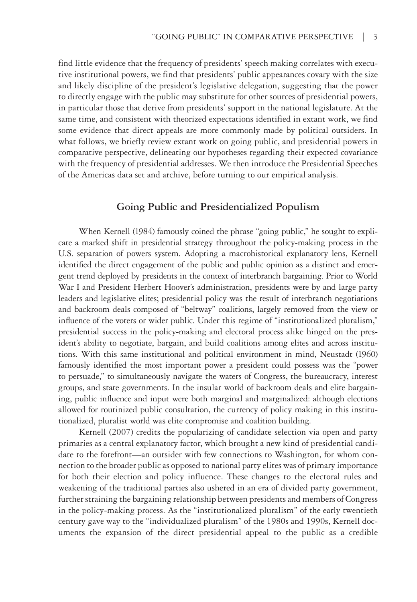find little evidence that the frequency of presidents' speech making correlates with executive institutional powers, we find that presidents' public appearances covary with the size and likely discipline of the president's legislative delegation, suggesting that the power to directly engage with the public may substitute for other sources of presidential powers, in particular those that derive from presidents' support in the national legislature. At the same time, and consistent with theorized expectations identified in extant work, we find some evidence that direct appeals are more commonly made by political outsiders. In what follows, we briefly review extant work on going public, and presidential powers in comparative perspective, delineating our hypotheses regarding their expected covariance with the frequency of presidential addresses. We then introduce the Presidential Speeches of the Americas data set and archive, before turning to our empirical analysis.

### **Going Public and Presidentialized Populism**

When Kernell (1984) famously coined the phrase "going public," he sought to explicate a marked shift in presidential strategy throughout the policy-making process in the U.S. separation of powers system. Adopting a macrohistorical explanatory lens, Kernell identified the direct engagement of the public and public opinion as a distinct and emergent trend deployed by presidents in the context of interbranch bargaining. Prior to World War I and President Herbert Hoover's administration, presidents were by and large party leaders and legislative elites; presidential policy was the result of interbranch negotiations and backroom deals composed of "beltway" coalitions, largely removed from the view or influence of the voters or wider public. Under this regime of "institutionalized pluralism," presidential success in the policy-making and electoral process alike hinged on the president's ability to negotiate, bargain, and build coalitions among elites and across institutions. With this same institutional and political environment in mind, Neustadt (1960) famously identified the most important power a president could possess was the "power to persuade," to simultaneously navigate the waters of Congress, the bureaucracy, interest groups, and state governments. In the insular world of backroom deals and elite bargaining, public influence and input were both marginal and marginalized: although elections allowed for routinized public consultation, the currency of policy making in this institutionalized, pluralist world was elite compromise and coalition building.

Kernell (2007) credits the popularizing of candidate selection via open and party primaries as a central explanatory factor, which brought a new kind of presidential candidate to the forefront—an outsider with few connections to Washington, for whom connection to the broader public as opposed to national party elites was of primary importance for both their election and policy influence. These changes to the electoral rules and weakening of the traditional parties also ushered in an era of divided party government, further straining the bargaining relationship between presidents and members of Congress in the policy-making process. As the "institutionalized pluralism" of the early twentieth century gave way to the "individualized pluralism" of the 1980s and 1990s, Kernell documents the expansion of the direct presidential appeal to the public as a credible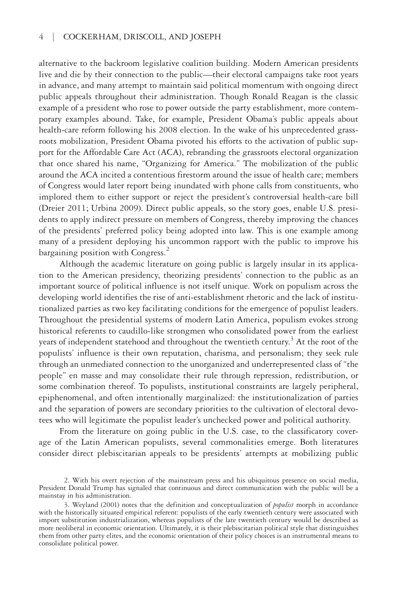alternative to the backroom legislative coalition building. Modern American presidents live and die by their connection to the public—their electoral campaigns take root years in advance, and many attempt to maintain said political momentum with ongoing direct public appeals throughout their administration. Though Ronald Reagan is the classic example of a president who rose to power outside the party establishment, more contemporary examples abound. Take, for example, President Obama's public appeals about health-care reform following his 2008 election. In the wake of his unprecedented grassroots mobilization, President Obama pivoted his efforts to the activation of public support for the Affordable Care Act (ACA), rebranding the grassroots electoral organization that once shared his name, "Organizing for America." The mobilization of the public around the ACA incited a contentious firestorm around the issue of health care; members of Congress would later report being inundated with phone calls from constituents, who implored them to either support or reject the president's controversial health-care bill (Dreier 2011; Urbina 2009). Direct public appeals, so the story goes, enable U.S. presidents to apply indirect pressure on members of Congress, thereby improving the chances of the presidents' preferred policy being adopted into law. This is one example among many of a president deploying his uncommon rapport with the public to improve his bargaining position with Congress.<sup>2</sup>

Although the academic literature on going public is largely insular in its application to the American presidency, theorizing presidents' connection to the public as an important source of political influence is not itself unique. Work on populism across the developing world identifies the rise of anti-establishment rhetoric and the lack of institutionalized parties as two key facilitating conditions for the emergence of populist leaders. Throughout the presidential systems of modern Latin America, populism evokes strong historical referents to caudillo-like strongmen who consolidated power from the earliest years of independent statehood and throughout the twentieth century.<sup>3</sup> At the root of the populists' influence is their own reputation, charisma, and personalism; they seek rule through an unmediated connection to the unorganized and underrepresented class of "the people" en masse and may consolidate their rule through repression, redistribution, or some combination thereof. To populists, institutional constraints are largely peripheral, epiphenomenal, and often intentionally marginalized: the institutionalization of parties and the separation of powers are secondary priorities to the cultivation of electoral devotees who will legitimate the populist leader's unchecked power and political authority.

From the literature on going public in the U.S. case, to the classificatory coverage of the Latin American populists, several commonalities emerge. Both literatures consider direct plebiscitarian appeals to be presidents' attempts at mobilizing public

<sup>2.</sup> With his overt rejection of the mainstream press and his ubiquitous presence on social media, President Donald Trump has signaled that continuous and direct communication with the public will be a mainstay in his administration.

<sup>3.</sup> Weyland (2001) notes that the definition and conceptualization of *populist* morph in accordance with the historically situated empirical referent: populists of the early twentieth century were associated with import substitution industrialization, whereas populists of the late twentieth century would be described as more neoliberal in economic orientation. Ultimately, it is their plebiscitarian political style that distinguishes them from other party elites, and the economic orientation of their policy choices is an instrumental means to consolidate political power.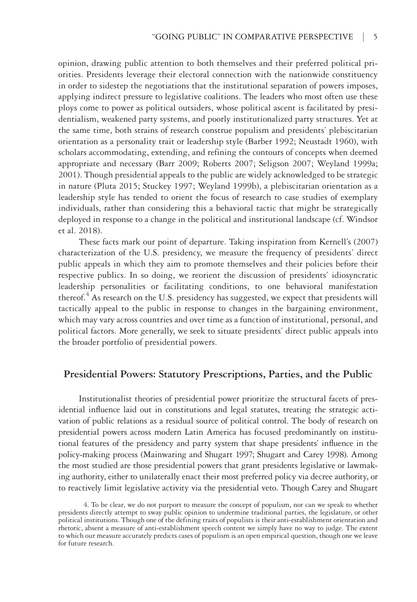opinion, drawing public attention to both themselves and their preferred political priorities. Presidents leverage their electoral connection with the nationwide constituency in order to sidestep the negotiations that the institutional separation of powers imposes, applying indirect pressure to legislative coalitions. The leaders who most often use these ploys come to power as political outsiders, whose political ascent is facilitated by presidentialism, weakened party systems, and poorly institutionalized party structures. Yet at the same time, both strains of research construe populism and presidents' plebiscitarian orientation as a personality trait or leadership style (Barber 1992; Neustadt 1960), with scholars accommodating, extending, and refining the contours of concepts when deemed appropriate and necessary (Barr 2009; Roberts 2007; Seligson 2007; Weyland 1999a; 2001). Though presidential appeals to the public are widely acknowledged to be strategic in nature (Pluta 2015; Stuckey 1997; Weyland 1999b), a plebiscitarian orientation as a leadership style has tended to orient the focus of research to case studies of exemplary individuals, rather than considering this a behavioral tactic that might be strategically deployed in response to a change in the political and institutional landscape (cf. Windsor et al. 2018).

These facts mark our point of departure. Taking inspiration from Kernell's (2007) characterization of the U.S. presidency, we measure the frequency of presidents' direct public appeals in which they aim to promote themselves and their policies before their respective publics. In so doing, we reorient the discussion of presidents' idiosyncratic leadership personalities or facilitating conditions, to one behavioral manifestation thereof.<sup>4</sup> As research on the U.S. presidency has suggested, we expect that presidents will tactically appeal to the public in response to changes in the bargaining environment, which may vary across countries and over time as a function of institutional, personal, and political factors. More generally, we seek to situate presidents' direct public appeals into the broader portfolio of presidential powers.

### **Presidential Powers: Statutory Prescriptions, Parties, and the Public**

Institutionalist theories of presidential power prioritize the structural facets of presidential influence laid out in constitutions and legal statutes, treating the strategic activation of public relations as a residual source of political control. The body of research on presidential powers across modern Latin America has focused predominantly on institutional features of the presidency and party system that shape presidents' influence in the policy-making process (Mainwaring and Shugart 1997; Shugart and Carey 1998). Among the most studied are those presidential powers that grant presidents legislative or lawmaking authority, either to unilaterally enact their most preferred policy via decree authority, or to reactively limit legislative activity via the presidential veto. Though Carey and Shugart

<sup>4.</sup> To be clear, we do not purport to measure the concept of populism, nor can we speak to whether presidents directly attempt to sway public opinion to undermine traditional parties, the legislature, or other political institutions. Though one of the defining traits of populists is their anti-establishment orientation and rhetoric, absent a measure of anti-establishment speech content we simply have no way to judge. The extent to which our measure accurately predicts cases of populism is an open empirical question, though one we leave for future research.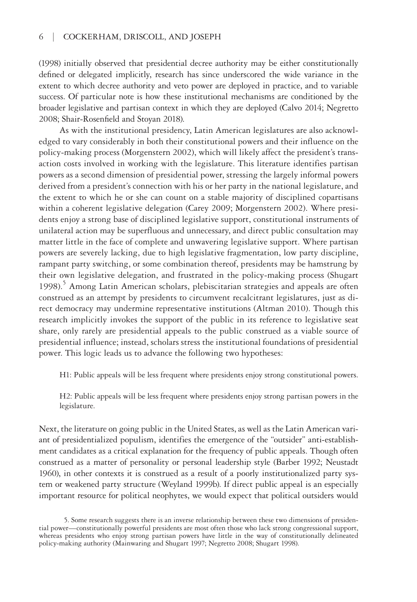(1998) initially observed that presidential decree authority may be either constitutionally defined or delegated implicitly, research has since underscored the wide variance in the extent to which decree authority and veto power are deployed in practice, and to variable success. Of particular note is how these institutional mechanisms are conditioned by the broader legislative and partisan context in which they are deployed (Calvo 2014; Negretto 2008; Shair-Rosenfield and Stoyan 2018).

As with the institutional presidency, Latin American legislatures are also acknowledged to vary considerably in both their constitutional powers and their influence on the policy-making process (Morgenstern 2002), which will likely affect the president's transaction costs involved in working with the legislature. This literature identifies partisan powers as a second dimension of presidential power, stressing the largely informal powers derived from a president's connection with his or her party in the national legislature, and the extent to which he or she can count on a stable majority of disciplined copartisans within a coherent legislative delegation (Carey 2009; Morgenstern 2002). Where presidents enjoy a strong base of disciplined legislative support, constitutional instruments of unilateral action may be superfluous and unnecessary, and direct public consultation may matter little in the face of complete and unwavering legislative support. Where partisan powers are severely lacking, due to high legislative fragmentation, low party discipline, rampant party switching, or some combination thereof, presidents may be hamstrung by their own legislative delegation, and frustrated in the policy-making process (Shugart 1998).<sup>5</sup> Among Latin American scholars, plebiscitarian strategies and appeals are often construed as an attempt by presidents to circumvent recalcitrant legislatures, just as direct democracy may undermine representative institutions (Altman 2010). Though this research implicitly invokes the support of the public in its reference to legislative seat share, only rarely are presidential appeals to the public construed as a viable source of presidential influence; instead, scholars stress the institutional foundations of presidential power. This logic leads us to advance the following two hypotheses:

H1: Public appeals will be less frequent where presidents enjoy strong constitutional powers.

H2: Public appeals will be less frequent where presidents enjoy strong partisan powers in the legislature.

Next, the literature on going public in the United States, as well as the Latin American variant of presidentialized populism, identifies the emergence of the "outsider" anti-establishment candidates as a critical explanation for the frequency of public appeals. Though often construed as a matter of personality or personal leadership style (Barber 1992; Neustadt 1960), in other contexts it is construed as a result of a poorly institutionalized party system or weakened party structure (Weyland 1999b). If direct public appeal is an especially important resource for political neophytes, we would expect that political outsiders would

<sup>5.</sup> Some research suggests there is an inverse relationship between these two dimensions of presidential power—constitutionally powerful presidents are most often those who lack strong congressional support, whereas presidents who enjoy strong partisan powers have little in the way of constitutionally delineated policy-making authority (Mainwaring and Shugart 1997; Negretto 2008; Shugart 1998).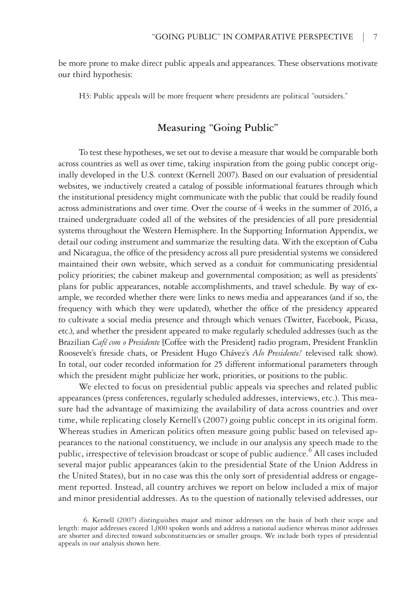be more prone to make direct public appeals and appearances. These observations motivate our third hypothesis:

H3: Public appeals will be more frequent where presidents are political "outsiders."

## **Measuring "Going Public"**

To test these hypotheses, we set out to devise a measure that would be comparable both across countries as well as over time, taking inspiration from the going public concept originally developed in the U.S. context (Kernell 2007). Based on our evaluation of presidential websites, we inductively created a catalog of possible informational features through which the institutional presidency might communicate with the public that could be readily found across administrations and over time. Over the course of 4 weeks in the summer of 2016, a trained undergraduate coded all of the websites of the presidencies of all pure presidential systems throughout the Western Hemisphere. In the Supporting Information Appendix, we detail our coding instrument and summarize the resulting data. With the exception of Cuba and Nicaragua, the office of the presidency across all pure presidential systems we considered maintained their own website, which served as a conduit for communicating presidential policy priorities; the cabinet makeup and governmental composition; as well as presidents' plans for public appearances, notable accomplishments, and travel schedule. By way of example, we recorded whether there were links to news media and appearances (and if so, the frequency with which they were updated), whether the office of the presidency appeared to cultivate a social media presence and through which venues (Twitter, Facebook, Picasa, etc.), and whether the president appeared to make regularly scheduled addresses (such as the Brazilian *Café com o Presidente* [Coffee with the President] radio program, President Franklin Roosevelt's fireside chats, or President Hugo Chávez's *Alo Presidente!* televised talk show). In total, our coder recorded information for 25 different informational parameters through which the president might publicize her work, priorities, or positions to the public.

We elected to focus on presidential public appeals via speeches and related public appearances (press conferences, regularly scheduled addresses, interviews, etc.). This measure had the advantage of maximizing the availability of data across countries and over time, while replicating closely Kernell's (2007) going public concept in its original form. Whereas studies in American politics often measure going public based on televised appearances to the national constituency, we include in our analysis any speech made to the public, irrespective of television broadcast or scope of public audience.  $^6$  All cases included several major public appearances (akin to the presidential State of the Union Address in the United States), but in no case was this the only sort of presidential address or engagement reported. Instead, all country archives we report on below included a mix of major and minor presidential addresses. As to the question of nationally televised addresses, our

<sup>6.</sup> Kernell (2007) distinguishes major and minor addresses on the basis of both their scope and length: major addresses exceed 1,000 spoken words and address a national audience whereas minor addresses are shorter and directed toward subconstituencies or smaller groups. We include both types of presidential appeals in our analysis shown here.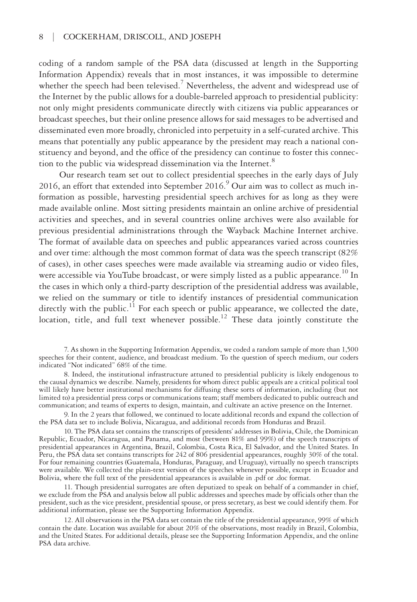coding of a random sample of the PSA data (discussed at length in the Supporting Information Appendix) reveals that in most instances, it was impossible to determine whether the speech had been televised.<sup>7</sup> Nevertheless, the advent and widespread use of the Internet by the public allows for a double-barreled approach to presidential publicity: not only might presidents communicate directly with citizens via public appearances or broadcast speeches, but their online presence allows for said messages to be advertised and disseminated even more broadly, chronicled into perpetuity in a self-curated archive. This means that potentially any public appearance by the president may reach a national constituency and beyond, and the office of the presidency can continue to foster this connection to the public via widespread dissemination via the Internet.<sup>8</sup>

Our research team set out to collect presidential speeches in the early days of July 2016, an effort that extended into September 2016. $9$  Our aim was to collect as much information as possible, harvesting presidential speech archives for as long as they were made available online. Most sitting presidents maintain an online archive of presidential activities and speeches, and in several countries online archives were also available for previous presidential administrations through the Wayback Machine Internet archive. The format of available data on speeches and public appearances varied across countries and over time: although the most common format of data was the speech transcript (82% of cases), in other cases speeches were made available via streaming audio or video files, were accessible via YouTube broadcast, or were simply listed as a public appearance.<sup>10</sup> In the cases in which only a third-party description of the presidential address was available, we relied on the summary or title to identify instances of presidential communication directly with the public.<sup>11</sup> For each speech or public appearance, we collected the date,  $\frac{1}{2}$  location, title, and full text whenever possible.<sup>12</sup> These data jointly constitute the

7. As shown in the Supporting Information Appendix, we coded a random sample of more than 1,500 speeches for their content, audience, and broadcast medium. To the question of speech medium, our coders indicated "Not indicated" 68% of the time.

8. Indeed, the institutional infrastructure attuned to presidential publicity is likely endogenous to the causal dynamics we describe. Namely, presidents for whom direct public appeals are a critical political tool will likely have better institutional mechanisms for diffusing these sorts of information, including (but not limited to) a presidential press corps or communications team; staff members dedicated to public outreach and communication; and teams of experts to design, maintain, and cultivate an active presence on the Internet.

9. In the 2 years that followed, we continued to locate additional records and expand the collection of the PSA data set to include Bolivia, Nicaragua, and additional records from Honduras and Brazil.

10. The PSA data set contains the transcripts of presidents' addresses in Bolivia, Chile, the Dominican Republic, Ecuador, Nicaragua, and Panama, and most (between 81% and 99%) of the speech transcripts of presidential appearances in Argentina, Brazil, Colombia, Costa Rica, El Salvador, and the United States. In Peru, the PSA data set contains transcripts for 242 of 806 presidential appearances, roughly 30% of the total. For four remaining countries (Guatemala, Honduras, Paraguay, and Uruguay), virtually no speech transcripts were available. We collected the plain-text version of the speeches whenever possible, except in Ecuador and Bolivia, where the full text of the presidential appearances is available in .pdf or .doc format.

11. Though presidential surrogates are often deputized to speak on behalf of a commander in chief, we exclude from the PSA and analysis below all public addresses and speeches made by officials other than the president, such as the vice president, presidential spouse, or press secretary, as best we could identify them. For additional information, please see the Supporting Information Appendix.

12. All observations in the PSA data set contain the title of the presidential appearance, 99% of which contain the date. Location was available for about 20% of the observations, most readily in Brazil, Colombia, and the United States. For additional details, please see the Supporting Information Appendix, and the online PSA data archive.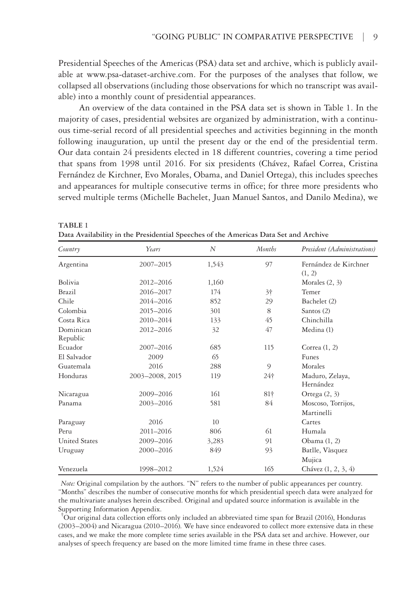Presidential Speeches of the Americas (PSA) data set and archive, which is publicly available at [www.psa-dataset-archive.com.](http://www.psa-dataset-archive.com) For the purposes of the analyses that follow, we collapsed all observations (including those observations for which no transcript was available) into a monthly count of presidential appearances.

An overview of the data contained in the PSA data set is shown in Table 1. In the majority of cases, presidential websites are organized by administration, with a continuous time-serial record of all presidential speeches and activities beginning in the month following inauguration, up until the present day or the end of the presidential term. Our data contain 24 presidents elected in 18 different countries, covering a time period that spans from 1998 until 2016. For six presidents (Chávez, Rafael Correa, Cristina Fernández de Kirchner, Evo Morales, Obama, and Daniel Ortega), this includes speeches and appearances for multiple consecutive terms in office; for three more presidents who served multiple terms (Michelle Bachelet, Juan Manuel Santos, and Danilo Medina), we

| Country              | Years           | N     | <b>Months</b> | President (Administrations)     |
|----------------------|-----------------|-------|---------------|---------------------------------|
| Argentina            | 2007-2015       | 1,543 | 97            | Fernández de Kirchner<br>(1, 2) |
| Bolivia              | 2012-2016       | 1,160 |               | Morales $(2, 3)$                |
| <b>Brazil</b>        | 2016-2017       | 174   | $3+$          | Temer                           |
| Chile                | 2014-2016       | 852   | 29            | Bachelet (2)                    |
| Colombia             | 2015-2016       | 301   | 8             | Santos (2)                      |
| Costa Rica           | 2010-2014       | 133   | 45            | Chinchilla                      |
| Dominican            | 2012-2016       | 32    | 47            | Medina (1)                      |
| Republic             |                 |       |               |                                 |
| Ecuador              | 2007-2016       | 685   | 115           | Correa $(1, 2)$                 |
| El Salvador          | 2009            | 65    |               | Funes                           |
| Guatemala            | 2016            | 288   | 9             | Morales                         |
| Honduras             | 2003-2008, 2015 | 119   | 24†           | Maduro, Zelaya,<br>Hernández    |
| Nicaragua            | 2009-2016       | 161   | $81+$         | Ortega $(2, 3)$                 |
| Panama               | 2003-2016       | 581   | 84            | Moscoso, Torrijos,              |
|                      |                 |       |               | Martinelli                      |
| Paraguay             | 2016            | 10    |               | Cartes                          |
| Peru                 | 2011-2016       | 806   | 61            | Humala                          |
| <b>United States</b> | 2009-2016       | 3,283 | 91            | Obama $(1, 2)$                  |
| Uruguay              | 2000-2016       | 849   | 93            | Batlle, Vàsquez                 |
|                      |                 |       |               | Mujica                          |
| Venezuela            | 1998-2012       | 1,524 | 165           | Chávez $(1, 2, 3, 4)$           |

**Data Availability in the Presidential Speeches of the Americas Data Set and Archive**

**TABLE 1**

*Note:* Original compilation by the authors. "N" refers to the number of public appearances per country. "Months" describes the number of consecutive months for which presidential speech data were analyzed for the multivariate analyses herein described. Original and updated source information is available in the Supporting Information Appendix.

† Our original data collection efforts only included an abbreviated time span for Brazil (2016), Honduras (2003–2004) and Nicaragua (2010–2016). We have since endeavored to collect more extensive data in these cases, and we make the more complete time series available in the PSA data set and archive. However, our analyses of speech frequency are based on the more limited time frame in these three cases.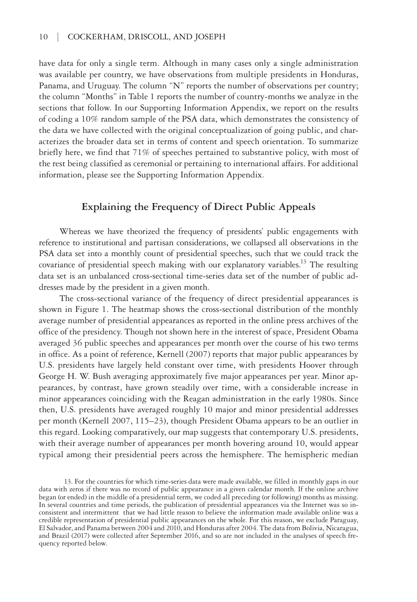have data for only a single term. Although in many cases only a single administration was available per country, we have observations from multiple presidents in Honduras, Panama, and Uruguay. The column "N" reports the number of observations per country; the column "Months" in Table 1 reports the number of country-months we analyze in the sections that follow. In our Supporting Information Appendix, we report on the results of coding a 10% random sample of the PSA data, which demonstrates the consistency of the data we have collected with the original conceptualization of going public, and characterizes the broader data set in terms of content and speech orientation. To summarize briefly here, we find that 71% of speeches pertained to substantive policy, with most of the rest being classified as ceremonial or pertaining to international affairs. For additional information, please see the Supporting Information Appendix.

## **Explaining the Frequency of Direct Public Appeals**

Whereas we have theorized the frequency of presidents' public engagements with reference to institutional and partisan considerations, we collapsed all observations in the PSA data set into a monthly count of presidential speeches, such that we could track the covariance of presidential speech making with our explanatory variables.<sup>13</sup> The resulting data set is an unbalanced cross-sectional time-series data set of the number of public addresses made by the president in a given month.

The cross-sectional variance of the frequency of direct presidential appearances is shown in Figure 1. The heatmap shows the cross-sectional distribution of the monthly average number of presidential appearances as reported in the online press archives of the office of the presidency. Though not shown here in the interest of space, President Obama averaged 36 public speeches and appearances per month over the course of his two terms in office. As a point of reference, Kernell (2007) reports that major public appearances by U.S. presidents have largely held constant over time, with presidents Hoover through George H. W. Bush averaging approximately five major appearances per year. Minor appearances, by contrast, have grown steadily over time, with a considerable increase in minor appearances coinciding with the Reagan administration in the early 1980s. Since then, U.S. presidents have averaged roughly 10 major and minor presidential addresses per month (Kernell 2007, 115–23), though President Obama appears to be an outlier in this regard. Looking comparatively, our map suggests that contemporary U.S. presidents, with their average number of appearances per month hovering around 10, would appear typical among their presidential peers across the hemisphere. The hemispheric median

<sup>13.</sup> For the countries for which time-series data were made available, we filled in monthly gaps in our data with zeros if there was no record of public appearance in a given calendar month. If the online archive began (or ended) in the middle of a presidential term, we coded all preceding (or following) months as missing.<br>In several countries and time periods, the publication of presidential appearances via the Internet was so inconsistent and intermittent that we had little reason to believe the information made available online was a credible representation of presidential public appearances on the whole. For this reason, we exclude Paraguay, El Salvador, and Panama between 2004 and 2010, and Honduras after 2004. The data from Bolivia, Nicaragua, and Brazil (2017) were collected after September 2016, and so are not included in the analyses of speech fre- quency reported below.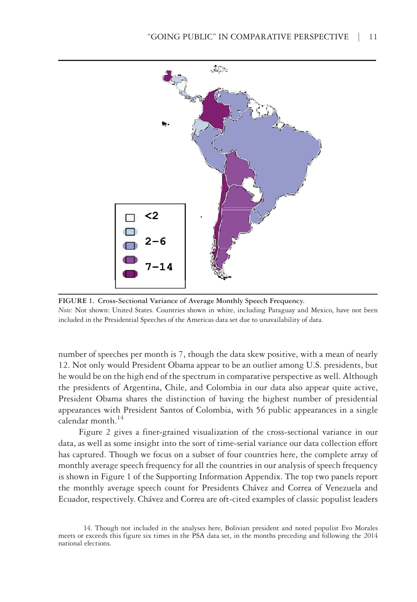

**FIGURE 1. Cross-Sectional Variance of Average Monthly Speech Frequency.** *Note*: Not shown: United States. Countries shown in white, including Paraguay and Mexico, have not been included in the Presidential Speeches of the Americas data set due to unavailability of data.

number of speeches per month is 7, though the data skew positive, with a mean of nearly 12. Not only would President Obama appear to be an outlier among U.S. presidents, but he would be on the high end of the spectrum in comparative perspective as well. Although the presidents of Argentina, Chile, and Colombia in our data also appear quite active, President Obama shares the distinction of having the highest number of presidential appearances with President Santos of Colombia, with 56 public appearances in a single calendar month. $^{14}$ 

Figure 2 gives a finer-grained visualization of the cross-sectional variance in our data, as well as some insight into the sort of time-serial variance our data collection effort has captured. Though we focus on a subset of four countries here, the complete array of monthly average speech frequency for all the countries in our analysis of speech frequency is shown in Figure 1 of the Supporting Information Appendix. The top two panels report the monthly average speech count for Presidents Chávez and Correa of Venezuela and Ecuador, respectively. Chávez and Correa are oft-cited examples of classic populist leaders

<sup>14.</sup> Though not included in the analyses here, Bolivian president and noted populist Evo Morales meets or exceeds this figure six times in the PSA data set, in the months preceding and following the 2014 national elections.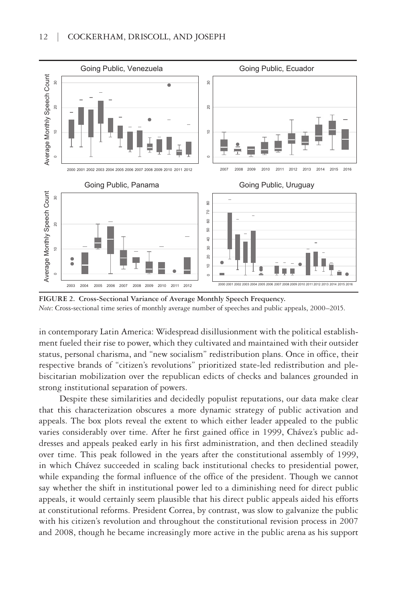

**FIGURE 2. Cross-Sectional Variance of Average Monthly Speech Frequency.** *Note*: Cross-sectional time series of monthly average number of speeches and public appeals, 2000–2015.

in contemporary Latin America: Widespread disillusionment with the political establishment fueled their rise to power, which they cultivated and maintained with their outsider status, personal charisma, and "new socialism" redistribution plans. Once in office, their respective brands of "citizen's revolutions" prioritized state-led redistribution and plebiscitarian mobilization over the republican edicts of checks and balances grounded in strong institutional separation of powers.

Despite these similarities and decidedly populist reputations, our data make clear that this characterization obscures a more dynamic strategy of public activation and appeals. The box plots reveal the extent to which either leader appealed to the public varies considerably over time. After he first gained office in 1999, Chávez's public addresses and appeals peaked early in his first administration, and then declined steadily over time. This peak followed in the years after the constitutional assembly of 1999, in which Chávez succeeded in scaling back institutional checks to presidential power, while expanding the formal influence of the office of the president. Though we cannot say whether the shift in institutional power led to a diminishing need for direct public appeals, it would certainly seem plausible that his direct public appeals aided his efforts at constitutional reforms. President Correa, by contrast, was slow to galvanize the public with his citizen's revolution and throughout the constitutional revision process in 2007 and 2008, though he became increasingly more active in the public arena as his support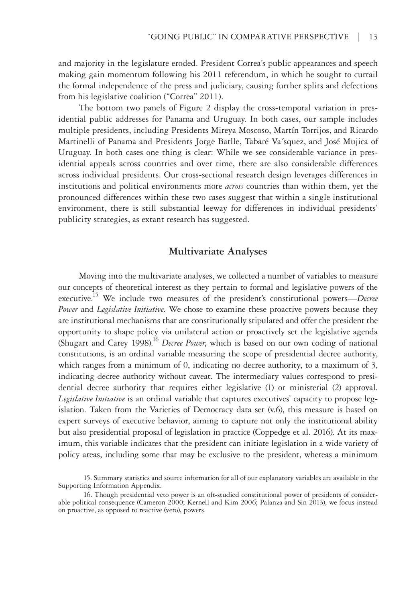and majority in the legislature eroded. President Correa's public appearances and speech making gain momentum following his 2011 referendum, in which he sought to curtail the formal independence of the press and judiciary, causing further splits and defections from his legislative coalition ("Correa" 2011).

The bottom two panels of Figure 2 display the cross-temporal variation in presidential public addresses for Panama and Uruguay. In both cases, our sample includes multiple presidents, including Presidents Mireya Moscoso, Martín Torrijos, and Ricardo Martinelli of Panama and Presidents Jorge Batlle, Tabaré Va´squez, and José Mujica of Uruguay. In both cases one thing is clear: While we see considerable variance in presidential appeals across countries and over time, there are also considerable differences across individual presidents. Our cross-sectional research design leverages differences in institutions and political environments more *across* countries than within them, yet the pronounced differences within these two cases suggest that within a single institutional environment, there is still substantial leeway for differences in individual presidents' publicity strategies, as extant research has suggested.

## **Multivariate Analyses**

Moving into the multivariate analyses, we collected a number of variables to measure our concepts of theoretical interest as they pertain to formal and legislative powers of the executive.15 We include two measures of the president's constitutional powers—*Decree Power* and *Legislative Initiative*. We chose to examine these proactive powers because they are institutional mechanisms that are constitutionally stipulated and offer the president the opportunity to shape policy via unilateral action or proactively set the legislative agenda (Shugart and Carey 1998).16 *Decree Power*, which is based on our own coding of national constitutions, is an ordinal variable measuring the scope of presidential decree authority, which ranges from a minimum of 0, indicating no decree authority, to a maximum of 3, indicating decree authority without caveat. The intermediary values correspond to presidential decree authority that requires either legislative (1) or ministerial (2) approval. *Legislative Initiative* is an ordinal variable that captures executives' capacity to propose legislation. Taken from the Varieties of Democracy data set (v.6), this measure is based on expert surveys of executive behavior, aiming to capture not only the institutional ability but also presidential proposal of legislation in practice (Coppedge et al. 2016). At its maximum, this variable indicates that the president can initiate legislation in a wide variety of policy areas, including some that may be exclusive to the president, whereas a minimum

<sup>15.</sup> Summary statistics and source information for all of our explanatory variables are available in the Supporting Information Appendix.

<sup>16.</sup> Though presidential veto power is an oft-studied constitutional power of presidents of consider- able political consequence (Cameron 2000; Kernell and Kim 2006; Palanza and Sin 2013), we focus instead on proactive, as opposed to reactive (veto), powers.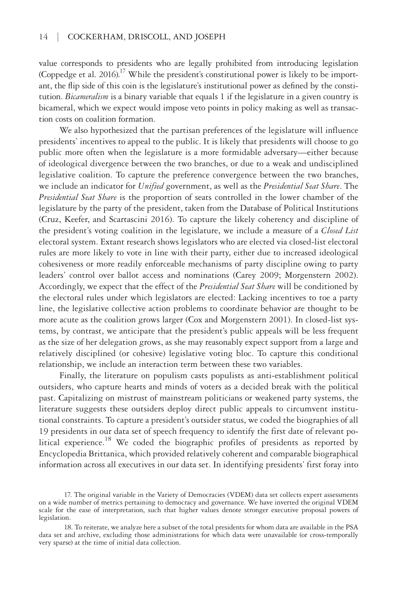value corresponds to presidents who are legally prohibited from introducing legislation (Coppedge et al. 2016).<sup>17</sup> While the president's constitutional power is likely to be important, the flip side of this coin is the legislature's institutional power as defined by the constitution. *Bicameralism* is a binary variable that equals 1 if the legislature in a given country is bicameral, which we expect would impose veto points in policy making as well as transaction costs on coalition formation.

We also hypothesized that the partisan preferences of the legislature will influence presidents' incentives to appeal to the public. It is likely that presidents will choose to go public more often when the legislature is a more formidable adversary—either because of ideological divergence between the two branches, or due to a weak and undisciplined legislative coalition. To capture the preference convergence between the two branches, we include an indicator for *Unified* government, as well as the *Presidential Seat Share*. The *Presidential Seat Share* is the proportion of seats controlled in the lower chamber of the legislature by the party of the president, taken from the Database of Political Institutions (Cruz, Keefer, and Scartascini 2016). To capture the likely coherency and discipline of the president's voting coalition in the legislature, we include a measure of a *Closed List*  electoral system. Extant research shows legislators who are elected via closed-list electoral rules are more likely to vote in line with their party, either due to increased ideological cohesiveness or more readily enforceable mechanisms of party discipline owing to party leaders' control over ballot access and nominations (Carey 2009; Morgenstern 2002). Accordingly, we expect that the effect of the *Presidential Seat Share* will be conditioned by the electoral rules under which legislators are elected: Lacking incentives to toe a party line, the legislative collective action problems to coordinate behavior are thought to be more acute as the coalition grows larger (Cox and Morgenstern 2001). In closed-list systems, by contrast, we anticipate that the president's public appeals will be less frequent as the size of her delegation grows, as she may reasonably expect support from a large and relatively disciplined (or cohesive) legislative voting bloc. To capture this conditional relationship, we include an interaction term between these two variables.

Finally, the literature on populism casts populists as anti-establishment political outsiders, who capture hearts and minds of voters as a decided break with the political past. Capitalizing on mistrust of mainstream politicians or weakened party systems, the literature suggests these outsiders deploy direct public appeals to circumvent institutional constraints. To capture a president's outsider status, we coded the biographies of all 19 presidents in our data set of speech frequency to identify the first date of relevant political experience.<sup>18</sup> We coded the biographic profiles of presidents as reported by Encyclopedia Brittanica, which provided relatively coherent and comparable biographical information across all executives in our data set. In identifying presidents' first foray into

<sup>17.</sup> The original variable in the Variety of Democracies (VDEM) data set collects expert assessments on a wide number of metrics pertaining to democracy and governance. We have inverted the original VDEM scale for the ease of interpretation, such that higher values denote stronger executive proposal powers of legislation.

<sup>18.</sup> To reiterate, we analyze here a subset of the total presidents for whom data are available in the PSA data set and archive, excluding those administrations for which data were unavailable (or cross-temporally very sparse) at the time of initial data collection.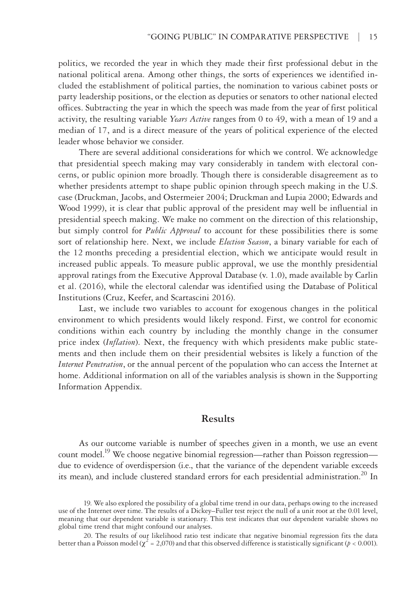politics, we recorded the year in which they made their first professional debut in the national political arena. Among other things, the sorts of experiences we identified included the establishment of political parties, the nomination to various cabinet posts or party leadership positions, or the election as deputies or senators to other national elected offices. Subtracting the year in which the speech was made from the year of first political activity, the resulting variable *Years Active* ranges from 0 to 49, with a mean of 19 and a median of 17, and is a direct measure of the years of political experience of the elected leader whose behavior we consider.

There are several additional considerations for which we control. We acknowledge that presidential speech making may vary considerably in tandem with electoral concerns, or public opinion more broadly. Though there is considerable disagreement as to whether presidents attempt to shape public opinion through speech making in the U.S. case (Druckman, Jacobs, and Ostermeier 2004; Druckman and Lupia 2000; Edwards and Wood 1999), it is clear that public approval of the president may well be influential in presidential speech making. We make no comment on the direction of this relationship, but simply control for *Public Approval* to account for these possibilities there is some sort of relationship here. Next, we include *Election Season*, a binary variable for each of the 12 months preceding a presidential election, which we anticipate would result in increased public appeals. To measure public approval, we use the monthly presidential approval ratings from the Executive Approval Database (v. 1.0), made available by Carlin et al. (2016), while the electoral calendar was identified using the Database of Political Institutions (Cruz, Keefer, and Scartascini 2016).

Last, we include two variables to account for exogenous changes in the political environment to which presidents would likely respond. First, we control for economic conditions within each country by including the monthly change in the consumer price index (*Inflation*). Next, the frequency with which presidents make public statements and then include them on their presidential websites is likely a function of the *Internet Penetration*, or the annual percent of the population who can access the Internet at home. Additional information on all of the variables analysis is shown in the Supporting Information Appendix.

## **Results**

As our outcome variable is number of speeches given in a month, we use an event count model.<sup>19</sup> We choose negative binomial regression—rather than Poisson regression due to evidence of overdispersion (i.e., that the variance of the dependent variable exceeds its mean), and include clustered standard errors for each presidential administration.<sup>20</sup> In

<sup>19.</sup> We also explored the possibility of a global time trend in our data, perhaps owing to the increased use of the Internet over time. The results of a Dickey–Fuller test reject the null of a unit root at the 0.01 level, meaning that our dependent variable is stationary. This test indicates that our dependent variable shows no global time trend that might confound our analyses.

<sup>20.</sup> The results of our likelihood ratio test indicate that negative binomial regression fits the data better than a Poisson model ( $\chi^2$  = 2,070) and that this observed difference is statistically significant ( $p$  < 0.001).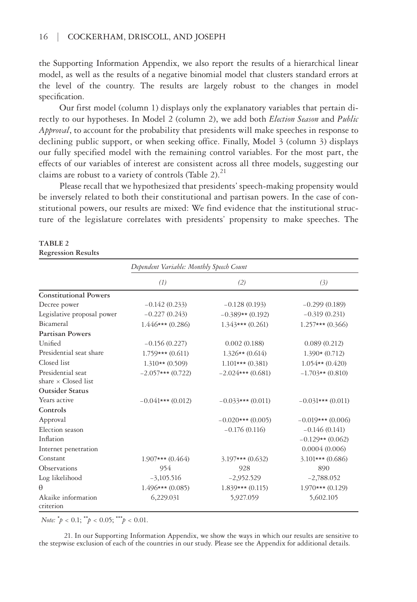the Supporting Information Appendix, we also report the results of a hierarchical linear model, as well as the results of a negative binomial model that clusters standard errors at the level of the country. The results are largely robust to the changes in model specification.

Our first model (column 1) displays only the explanatory variables that pertain directly to our hypotheses. In Model 2 (column 2), we add both *Election Season* and *Public Approval*, to account for the probability that presidents will make speeches in response to declining public support, or when seeking office. Finally, Model 3 (column 3) displays our fully specified model with the remaining control variables. For the most part, the effects of our variables of interest are consistent across all three models, suggesting our claims are robust to a variety of controls (Table 2). $^{21}$ 

Please recall that we hypothesized that presidents' speech-making propensity would be inversely related to both their constitutional and partisan powers. In the case of constitutional powers, our results are mixed: We find evidence that the institutional structure of the legislature correlates with presidents' propensity to make speeches. The

#### **TABLE 2**

#### **Regression Results**

|                                 | Dependent Variable: Monthly Speech Count |                     |                     |  |
|---------------------------------|------------------------------------------|---------------------|---------------------|--|
|                                 | (1)                                      | (2)                 | (3)                 |  |
| <b>Constitutional Powers</b>    |                                          |                     |                     |  |
| Decree power                    | $-0.142(0.233)$                          | $-0.128(0.193)$     | $-0.299(0.189)$     |  |
| Legislative proposal power      | $-0.227(0.243)$                          | $-0.389**$ (0.192)  | $-0.319(0.231)$     |  |
| Bicameral                       | $1.446***(0.286)$                        | $1.343***(0.261)$   | $1.257***$ (0.366)  |  |
| <b>Partisan Powers</b>          |                                          |                     |                     |  |
| Unified                         | $-0.156(0.227)$                          | 0.002(0.188)        | 0.089(0.212)        |  |
| Presidential seat share         | $1.759***(0.611)$                        | $1.326**$ (0.614)   | $1.390*(0.712)$     |  |
| Closed list                     | $1.310**$ (0.509)                        | $1.101***(0.381)$   | $1.054**$ (0.420)   |  |
| Presidential seat               | $-2.057***(0.722)$                       | $-2.024***$ (0.681) | $-1.703**$ (0.810)  |  |
| share $\times$ Closed list      |                                          |                     |                     |  |
| <b>Outsider Status</b>          |                                          |                     |                     |  |
| Years active                    | $-0.041***(0.012)$                       | $-0.033***$ (0.011) | $-0.031***$ (0.011) |  |
| Controls                        |                                          |                     |                     |  |
| Approval                        |                                          | $-0.020***(0.005)$  | $-0.019***$ (0.006) |  |
| Election season                 |                                          | $-0.176(0.116)$     | $-0.146(0.141)$     |  |
| Inflation                       |                                          |                     | $-0.129**$ (0.062)  |  |
| Internet penetration            |                                          |                     | 0.0004(0.006)       |  |
| Constant                        | $1.907***(0.464)$                        | $3.197***(0.632)$   | $3.101***$ (0.686)  |  |
| Observations                    | 954                                      | 928                 | 890                 |  |
| Log likelihood                  | $-3,105.516$                             | $-2,952.529$        | $-2,788.052$        |  |
| $\theta$                        | $1.496***(0.085)$                        | $1.839***(0.115)$   | $1.970***(0.129)$   |  |
| Akaike information<br>criterion | 6,229.031                                | 5,927.059           | 5,602.105           |  |

*Note:*  $^*p < 0.1$ ;  $^*p < 0.05$ ;  $^*p < 0.01$ .

21. In our Supporting Information Appendix, we show the ways in which our results are sensitive to the stepwise exclusion of each of the countries in our study. Please see the Appendix for additional details.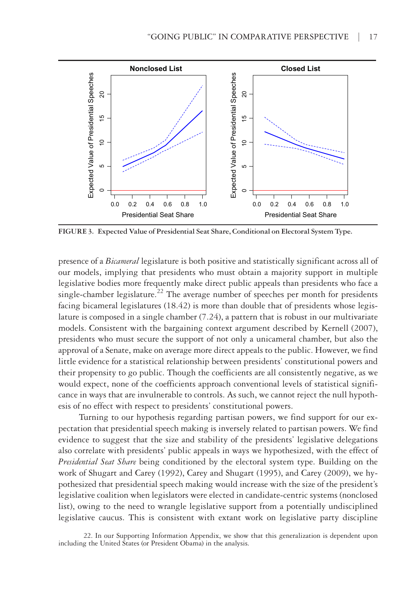

**FIGURE 3. Expected Value of Presidential Seat Share, Conditional on Electoral System Type.**

presence of a *Bicameral* legislature is both positive and statistically significant across all of our models, implying that presidents who must obtain a majority support in multiple legislative bodies more frequently make direct public appeals than presidents who face a single-chamber legislature.<sup>22</sup> The average number of speeches per month for presidents facing bicameral legislatures (18.42) is more than double that of presidents whose legislature is composed in a single chamber (7.24), a pattern that is robust in our multivariate models. Consistent with the bargaining context argument described by Kernell (2007), presidents who must secure the support of not only a unicameral chamber, but also the approval of a Senate, make on average more direct appeals to the public. However, we find little evidence for a statistical relationship between presidents' constitutional powers and their propensity to go public. Though the coefficients are all consistently negative, as we would expect, none of the coefficients approach conventional levels of statistical significance in ways that are invulnerable to controls. As such, we cannot reject the null hypothesis of no effect with respect to presidents' constitutional powers.

Turning to our hypothesis regarding partisan powers, we find support for our expectation that presidential speech making is inversely related to partisan powers. We find evidence to suggest that the size and stability of the presidents' legislative delegations also correlate with presidents' public appeals in ways we hypothesized, with the effect of *Presidential Seat Share* being conditioned by the electoral system type. Building on the work of Shugart and Carey (1992), Carey and Shugart (1995), and Carey (2009), we hypothesized that presidential speech making would increase with the size of the president's legislative coalition when legislators were elected in candidate-centric systems (nonclosed list), owing to the need to wrangle legislative support from a potentially undisciplined legislative caucus. This is consistent with extant work on legislative party discipline

22. In our Supporting Information Appendix, we show that this generalization is dependent upon including the United States (or President Obama) in the analysis.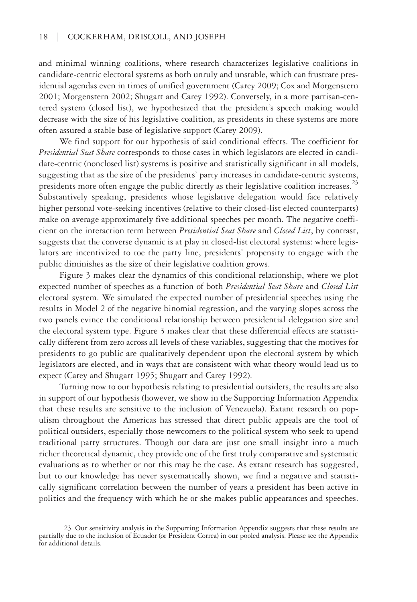and minimal winning coalitions, where research characterizes legislative coalitions in candidate-centric electoral systems as both unruly and unstable, which can frustrate presidential agendas even in times of unified government (Carey 2009; Cox and Morgenstern 2001; Morgenstern 2002; Shugart and Carey 1992). Conversely, in a more partisan-centered system (closed list), we hypothesized that the president's speech making would decrease with the size of his legislative coalition, as presidents in these systems are more often assured a stable base of legislative support (Carey 2009).

We find support for our hypothesis of said conditional effects. The coefficient for *Presidential Seat Share* corresponds to those cases in which legislators are elected in candidate-centric (nonclosed list) systems is positive and statistically significant in all models, suggesting that as the size of the presidents' party increases in candidate-centric systems, presidents more often engage the public directly as their legislative coalition increases.<sup>23</sup> Substantively speaking, presidents whose legislative delegation would face relatively higher personal vote-seeking incentives (relative to their closed-list elected counterparts) make on average approximately five additional speeches per month. The negative coefficient on the interaction term between *Presidential Seat Share* and *Closed List*, by contrast, suggests that the converse dynamic is at play in closed-list electoral systems: where legislators are incentivized to toe the party line, presidents' propensity to engage with the public diminishes as the size of their legislative coalition grows.

Figure 3 makes clear the dynamics of this conditional relationship, where we plot expected number of speeches as a function of both *Presidential Seat Share* and *Closed List*  electoral system. We simulated the expected number of presidential speeches using the results in Model 2 of the negative binomial regression, and the varying slopes across the two panels evince the conditional relationship between presidential delegation size and the electoral system type. Figure 3 makes clear that these differential effects are statistically different from zero across all levels of these variables, suggesting that the motives for presidents to go public are qualitatively dependent upon the electoral system by which legislators are elected, and in ways that are consistent with what theory would lead us to expect (Carey and Shugart 1995; Shugart and Carey 1992).

Turning now to our hypothesis relating to presidential outsiders, the results are also in support of our hypothesis (however, we show in the Supporting Information Appendix that these results are sensitive to the inclusion of Venezuela). Extant research on populism throughout the Americas has stressed that direct public appeals are the tool of political outsiders, especially those newcomers to the political system who seek to upend traditional party structures. Though our data are just one small insight into a much richer theoretical dynamic, they provide one of the first truly comparative and systematic evaluations as to whether or not this may be the case. As extant research has suggested, but to our knowledge has never systematically shown, we find a negative and statistically significant correlation between the number of years a president has been active in politics and the frequency with which he or she makes public appearances and speeches.

<sup>23.</sup> Our sensitivity analysis in the Supporting Information Appendix suggests that these results are partially due to the inclusion of Ecuador (or President Correa) in our pooled analysis. Please see the Appendix for additional details.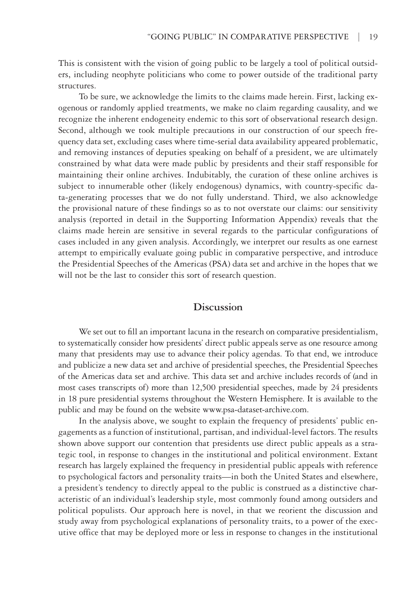This is consistent with the vision of going public to be largely a tool of political outsiders, including neophyte politicians who come to power outside of the traditional party structures.

To be sure, we acknowledge the limits to the claims made herein. First, lacking exogenous or randomly applied treatments, we make no claim regarding causality, and we recognize the inherent endogeneity endemic to this sort of observational research design. Second, although we took multiple precautions in our construction of our speech frequency data set, excluding cases where time-serial data availability appeared problematic, and removing instances of deputies speaking on behalf of a president, we are ultimately constrained by what data were made public by presidents and their staff responsible for maintaining their online archives. Indubitably, the curation of these online archives is subject to innumerable other (likely endogenous) dynamics, with country-specific data-generating processes that we do not fully understand. Third, we also acknowledge the provisional nature of these findings so as to not overstate our claims: our sensitivity analysis (reported in detail in the Supporting Information Appendix) reveals that the claims made herein are sensitive in several regards to the particular configurations of cases included in any given analysis. Accordingly, we interpret our results as one earnest attempt to empirically evaluate going public in comparative perspective, and introduce the Presidential Speeches of the Americas (PSA) data set and archive in the hopes that we will not be the last to consider this sort of research question.

## **Discussion**

We set out to fill an important lacuna in the research on comparative presidentialism, to systematically consider how presidents' direct public appeals serve as one resource among many that presidents may use to advance their policy agendas. To that end, we introduce and publicize a new data set and archive of presidential speeches, the Presidential Speeches of the Americas data set and archive. This data set and archive includes records of (and in most cases transcripts of) more than 12,500 presidential speeches, made by 24 presidents in 18 pure presidential systems throughout the Western Hemisphere. It is available to the public and may be found on the website [www.psa-dataset-archive.com.](http://www.psa-dataset-archive.com)

In the analysis above, we sought to explain the frequency of presidents' public engagements as a function of institutional, partisan, and individual-level factors. The results shown above support our contention that presidents use direct public appeals as a strategic tool, in response to changes in the institutional and political environment. Extant research has largely explained the frequency in presidential public appeals with reference to psychological factors and personality traits—in both the United States and elsewhere, a president's tendency to directly appeal to the public is construed as a distinctive characteristic of an individual's leadership style, most commonly found among outsiders and political populists. Our approach here is novel, in that we reorient the discussion and study away from psychological explanations of personality traits, to a power of the executive office that may be deployed more or less in response to changes in the institutional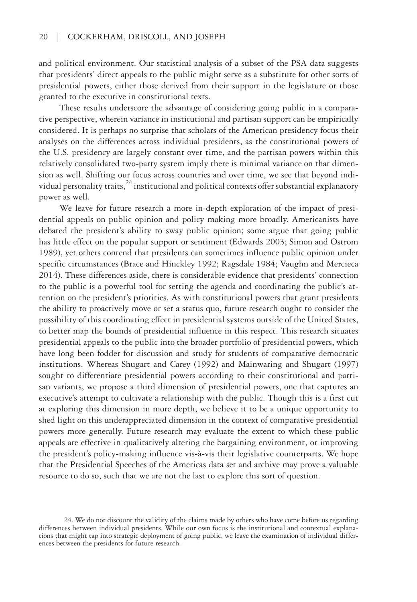and political environment. Our statistical analysis of a subset of the PSA data suggests that presidents' direct appeals to the public might serve as a substitute for other sorts of presidential powers, either those derived from their support in the legislature or those granted to the executive in constitutional texts.

These results underscore the advantage of considering going public in a comparative perspective, wherein variance in institutional and partisan support can be empirically considered. It is perhaps no surprise that scholars of the American presidency focus their analyses on the differences across individual presidents, as the constitutional powers of the U.S. presidency are largely constant over time, and the partisan powers within this relatively consolidated two-party system imply there is minimal variance on that dimension as well. Shifting our focus across countries and over time, we see that beyond individual personality traits,  $^{24}$  institutional and political contexts offer substantial explanatory power as well.

We leave for future research a more in-depth exploration of the impact of presidential appeals on public opinion and policy making more broadly. Americanists have debated the president's ability to sway public opinion; some argue that going public has little effect on the popular support or sentiment (Edwards 2003; Simon and Ostrom 1989), yet others contend that presidents can sometimes influence public opinion under specific circumstances (Brace and Hinckley 1992; Ragsdale 1984; Vaughn and Mercieca 2014). These differences aside, there is considerable evidence that presidents' connection to the public is a powerful tool for setting the agenda and coordinating the public's attention on the president's priorities. As with constitutional powers that grant presidents the ability to proactively move or set a status quo, future research ought to consider the possibility of this coordinating effect in presidential systems outside of the United States, to better map the bounds of presidential influence in this respect. This research situates presidential appeals to the public into the broader portfolio of presidential powers, which have long been fodder for discussion and study for students of comparative democratic institutions. Whereas Shugart and Carey (1992) and Mainwaring and Shugart (1997) sought to differentiate presidential powers according to their constitutional and partisan variants, we propose a third dimension of presidential powers, one that captures an executive's attempt to cultivate a relationship with the public. Though this is a first cut at exploring this dimension in more depth, we believe it to be a unique opportunity to shed light on this underappreciated dimension in the context of comparative presidential powers more generally. Future research may evaluate the extent to which these public appeals are effective in qualitatively altering the bargaining environment, or improving the president's policy-making influence vis-à-vis their legislative counterparts. We hope that the Presidential Speeches of the Americas data set and archive may prove a valuable resource to do so, such that we are not the last to explore this sort of question.

<sup>24.</sup> We do not discount the validity of the claims made by others who have come before us regarding differences between individual presidents. While our own focus is the institutional and contextual explanations that might tap into strategic deployment of going public, we leave the examination of individual differences between the presidents for future research.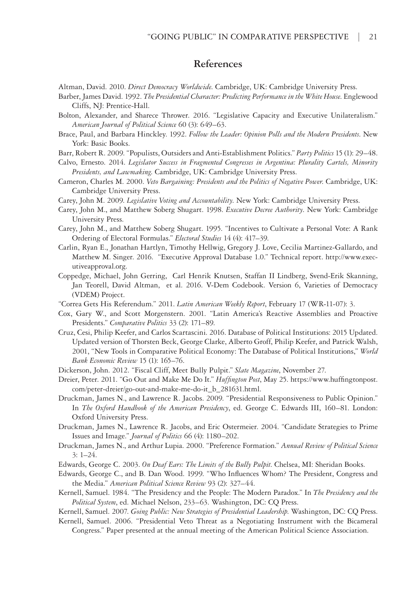## **References**

Altman, David. 2010. *Direct Democracy Worldwide*. Cambridge, UK: Cambridge University Press.

- Barber, James David. 1992. *The Presidential Character: Predicting Performance in the White House*. Englewood Cliffs, NJ: Prentice-Hall.
- Bolton, Alexander, and Sharece Thrower. 2016. "Legislative Capacity and Executive Unilateralism." *American Journal of Political Science* 60 (3): 649–63.
- Brace, Paul, and Barbara Hinckley. 1992. *Follow the Leader: Opinion Polls and the Modern Presidents*. New York: Basic Books.
- Barr, Robert R. 2009. "Populists, Outsiders and Anti-Establishment Politics." *Party Politics* 15 (1): 29–48.
- Calvo, Ernesto. 2014. *Legislator Success in Fragmented Congresses in Argentina: Plurality Cartels, Minority Presidents, and Lawmaking*. Cambridge, UK: Cambridge University Press.
- Cameron, Charles M. 2000. *Veto Bargaining: Presidents and the Politics of Negative Power*. Cambridge, UK: Cambridge University Press.
- Carey, John M. 2009. *Legislative Voting and Accountability*. New York: Cambridge University Press.
- Carey, John M., and Matthew Soberg Shugart. 1998. *Executive Decree Authority*. New York: Cambridge University Press.
- Carey, John M., and Matthew Soberg Shugart. 1995. "Incentives to Cultivate a Personal Vote: A Rank Ordering of Electoral Formulas." *Electoral Studies* 14 (4): 417–39.
- Carlin, Ryan E., Jonathan Hartlyn, Timothy Hellwig, Gregory J. Love, Cecilia Martinez-Gallardo, and Matthew M. Singer. 2016. "Executive Approval Database 1.0." Technical report. [http://www.exec](http://www.executiveapproval.org)[utiveapproval.org](http://www.executiveapproval.org).
- Coppedge, Michael, John Gerring, Carl Henrik Knutsen, Staffan II Lindberg, Svend-Erik Skanning, Jan Teorell, David Altman, et al. 2016. V-Dem Codebook. Version 6, Varieties of Democracy (VDEM) Project.
- "Correa Gets His Referendum." 2011. *Latin American Weekly Report*, February 17 (WR-11-07): 3.
- Cox, Gary W., and Scott Morgenstern. 2001. "Latin America's Reactive Assemblies and Proactive Presidents." *Comparative Politics* 33 (2): 171–89.
- Cruz, Cesi, Philip Keefer, and Carlos Scartascini. 2016. Database of Political Institutions: 2015 Updated. Updated version of Thorsten Beck, George Clarke, Alberto Groff, Philip Keefer, and Patrick Walsh, 2001, "New Tools in Comparative Political Economy: The Database of Political Institutions," *World Bank Economic Review* 15 (1): 165–76.
- Dickerson, John. 2012. "Fiscal Cliff, Meet Bully Pulpit." *Slate Magazine*, November 27.
- Dreier, Peter. 2011. "Go Out and Make Me Do It." *Huffington Post*, May 25. [https://www.huffingtonpost.](https://www.huffingtonpost.com/peter-dreier/go-out-and-make-me-do-it_b_281631.html) [com/peter-dreier/go-out-and-make-me-do-it\\_b\\_281631.html.](https://www.huffingtonpost.com/peter-dreier/go-out-and-make-me-do-it_b_281631.html)
- Druckman, James N., and Lawrence R. Jacobs. 2009. "Presidential Responsiveness to Public Opinion." In *The Oxford Handbook of the American Presidency*, ed. George C. Edwards III, 160–81. London: Oxford University Press.
- Druckman, James N., Lawrence R. Jacobs, and Eric Ostermeier. 2004. "Candidate Strategies to Prime Issues and Image." *Journal of Politics* 66 (4): 1180–202.
- Druckman, James N., and Arthur Lupia. 2000. "Preference Formation." *Annual Review of Political Science* 3: 1–24.
- Edwards, George C. 2003. *On Deaf Ears: The Limits of the Bully Pulpit*. Chelsea, MI: Sheridan Books.
- Edwards, George C., and B. Dan Wood. 1999. "Who Influences Whom? The President, Congress and the Media." *American Political Science Review* 93 (2): 327–44.
- Kernell, Samuel. 1984. "The Presidency and the People: The Modern Paradox." In *The Presidency and the Political System*, ed. Michael Nelson, 233–63. Washington, DC: CQ Press.
- Kernell, Samuel. 2007. *Going Public: New Strategies of Presidential Leadership*. Washington, DC: CQ Press. Kernell, Samuel. 2006. "Presidential Veto Threat as a Negotiating Instrument with the Bicameral
- Congress." Paper presented at the annual meeting of the American Political Science Association.